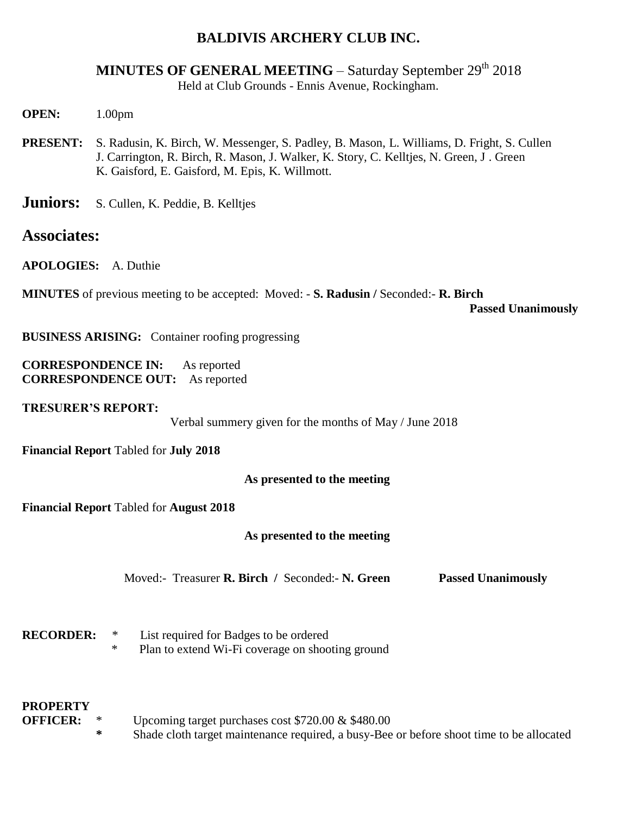### **BALDIVIS ARCHERY CLUB INC.**

## **MINUTES OF GENERAL MEETING – Saturday September 29<sup>th</sup> 2018** Held at Club Grounds - Ennis Avenue, Rockingham.

- **OPEN:** 1.00pm
- **PRESENT:** S. Radusin, K. Birch, W. Messenger, S. Padley, B. Mason, L. Williams, D. Fright, S. Cullen J. Carrington, R. Birch, R. Mason, J. Walker, K. Story, C. Kelltjes, N. Green, J . Green K. Gaisford, E. Gaisford, M. Epis, K. Willmott.
- **Juniors:** S. Cullen, K. Peddie, B. Kelltjes

## **Associates:**

**APOLOGIES:** A. Duthie

**MINUTES** of previous meeting to be accepted: Moved: - **S. Radusin /** Seconded:- **R. Birch**

 **Passed Unanimously** 

**BUSINESS ARISING:** Container roofing progressing

**CORRESPONDENCE IN:** As reported **CORRESPONDENCE OUT:** As reported

**TRESURER'S REPORT:**

Verbal summery given for the months of May / June 2018

**Financial Report** Tabled for **July 2018**

#### **As presented to the meeting**

**Financial Report** Tabled for **August 2018**

 **As presented to the meeting**

Moved:- Treasurer **R. Birch /** Seconded:- **N. Green Passed Unanimously** 

**RECORDER:** \* List required for Badges to be ordered \* Plan to extend Wi-Fi coverage on shooting ground

#### **PROPERTY**

- **OFFICER:** \* Upcoming target purchases cost \$720.00 & \$480.00
	- **\*** Shade cloth target maintenance required, a busy-Bee or before shoot time to be allocated